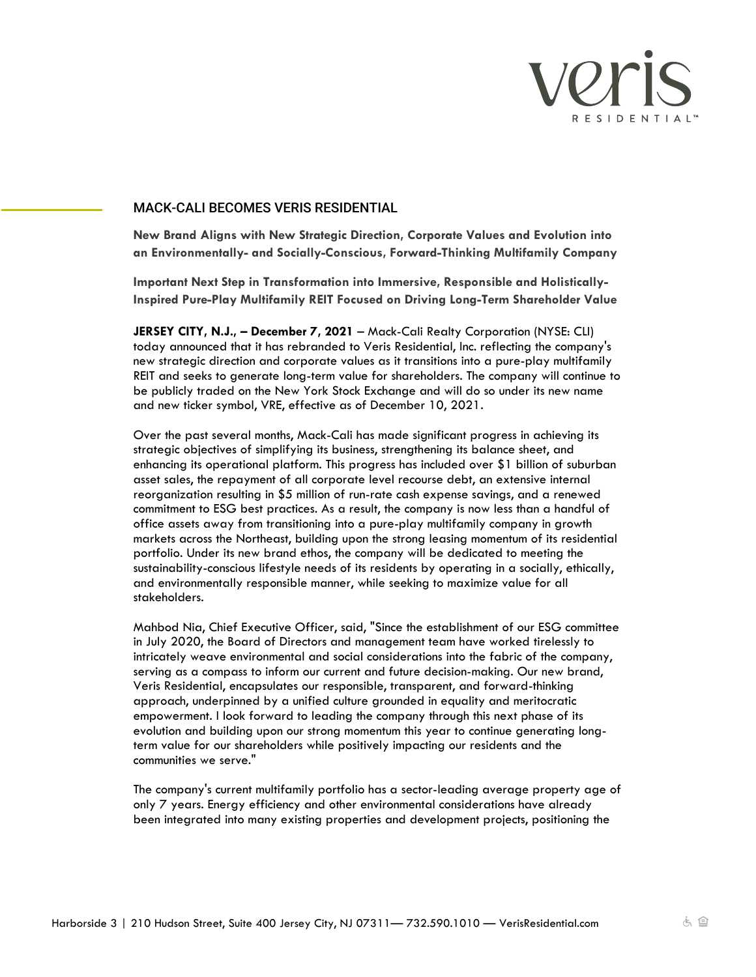

## MACK-CALI BECOMES VERIS RESIDENTIAL

**New Brand Aligns with New Strategic Direction, Corporate Values and Evolution into an Environmentally- and Socially-Conscious, Forward-Thinking Multifamily Company** 

**Important Next Step in Transformation into Immersive, Responsible and Holistically-Inspired Pure-Play Multifamily REIT Focused on Driving Long-Term Shareholder Value**

**JERSEY CITY, N.J., – December 7, 2021** – Mack-Cali Realty Corporation (NYSE: CLI) today announced that it has rebranded to Veris Residential, Inc. reflecting the company's new strategic direction and corporate values as it transitions into a pure-play multifamily REIT and seeks to generate long-term value for shareholders. The company will continue to be publicly traded on the New York Stock Exchange and will do so under its new name and new ticker symbol, VRE, effective as of December 10, 2021.

Over the past several months, Mack-Cali has made significant progress in achieving its strategic objectives of simplifying its business, strengthening its balance sheet, and enhancing its operational platform. This progress has included over \$1 billion of suburban asset sales, the repayment of all corporate level recourse debt, an extensive internal reorganization resulting in \$5 million of run-rate cash expense savings, and a renewed commitment to ESG best practices. As a result, the company is now less than a handful of office assets away from transitioning into a pure-play multifamily company in growth markets across the Northeast, building upon the strong leasing momentum of its residential portfolio. Under its new brand ethos, the company will be dedicated to meeting the sustainability-conscious lifestyle needs of its residents by operating in a socially, ethically, and environmentally responsible manner, while seeking to maximize value for all stakeholders.

Mahbod Nia, Chief Executive Officer, said, "Since the establishment of our ESG committee in July 2020, the Board of Directors and management team have worked tirelessly to intricately weave environmental and social considerations into the fabric of the company, serving as a compass to inform our current and future decision-making. Our new brand, Veris Residential, encapsulates our responsible, transparent, and forward-thinking approach, underpinned by a unified culture grounded in equality and meritocratic empowerment. I look forward to leading the company through this next phase of its evolution and building upon our strong momentum this year to continue generating longterm value for our shareholders while positively impacting our residents and the communities we serve."

The company's current multifamily portfolio has a sector-leading average property age of only 7 years. Energy efficiency and other environmental considerations have already been integrated into many existing properties and development projects, positioning the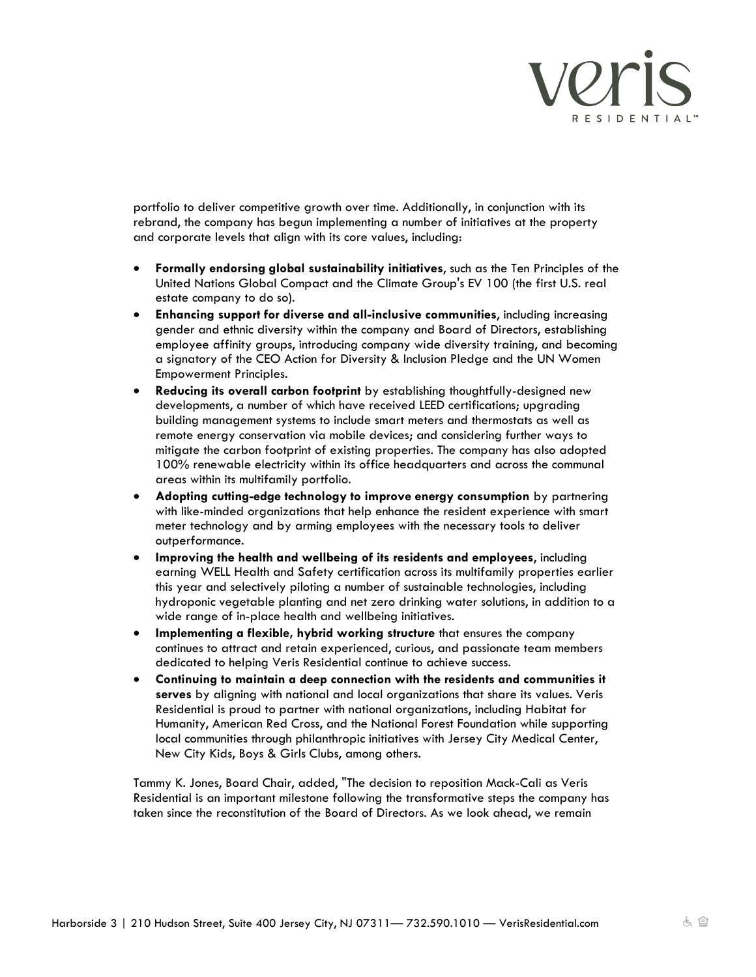

portfolio to deliver competitive growth over time. Additionally, in conjunction with its rebrand, the company has begun implementing a number of initiatives at the property and corporate levels that align with its core values, including:

- **Formally endorsing global sustainability initiatives**, such as the Ten Principles of the United Nations Global Compact and the Climate Group's EV 100 (the first U.S. real estate company to do so).
- **Enhancing support for diverse and all-inclusive communities**, including increasing gender and ethnic diversity within the company and Board of Directors, establishing employee affinity groups, introducing company wide diversity training, and becoming a signatory of the CEO Action for Diversity & Inclusion Pledge and the UN Women Empowerment Principles.
- **Reducing its overall carbon footprint** by establishing thoughtfully-designed new developments, a number of which have received LEED certifications; upgrading building management systems to include smart meters and thermostats as well as remote energy conservation via mobile devices; and considering further ways to mitigate the carbon footprint of existing properties. The company has also adopted 100% renewable electricity within its office headquarters and across the communal areas within its multifamily portfolio.
- **Adopting cutting-edge technology to improve energy consumption** by partnering with like-minded organizations that help enhance the resident experience with smart meter technology and by arming employees with the necessary tools to deliver outperformance.
- **Improving the health and wellbeing of its residents and employees**, including earning WELL Health and Safety certification across its multifamily properties earlier this year and selectively piloting a number of sustainable technologies, including hydroponic vegetable planting and net zero drinking water solutions, in addition to a wide range of in-place health and wellbeing initiatives.
- **Implementing a flexible, hybrid working structure** that ensures the company continues to attract and retain experienced, curious, and passionate team members dedicated to helping Veris Residential continue to achieve success.
- **Continuing to maintain a deep connection with the residents and communities it serves** by aligning with national and local organizations that share its values. Veris Residential is proud to partner with national organizations, including Habitat for Humanity, American Red Cross, and the National Forest Foundation while supporting local communities through philanthropic initiatives with Jersey City Medical Center, New City Kids, Boys & Girls Clubs, among others.

Tammy K. Jones, Board Chair, added, "The decision to reposition Mack-Cali as Veris Residential is an important milestone following the transformative steps the company has taken since the reconstitution of the Board of Directors. As we look ahead, we remain